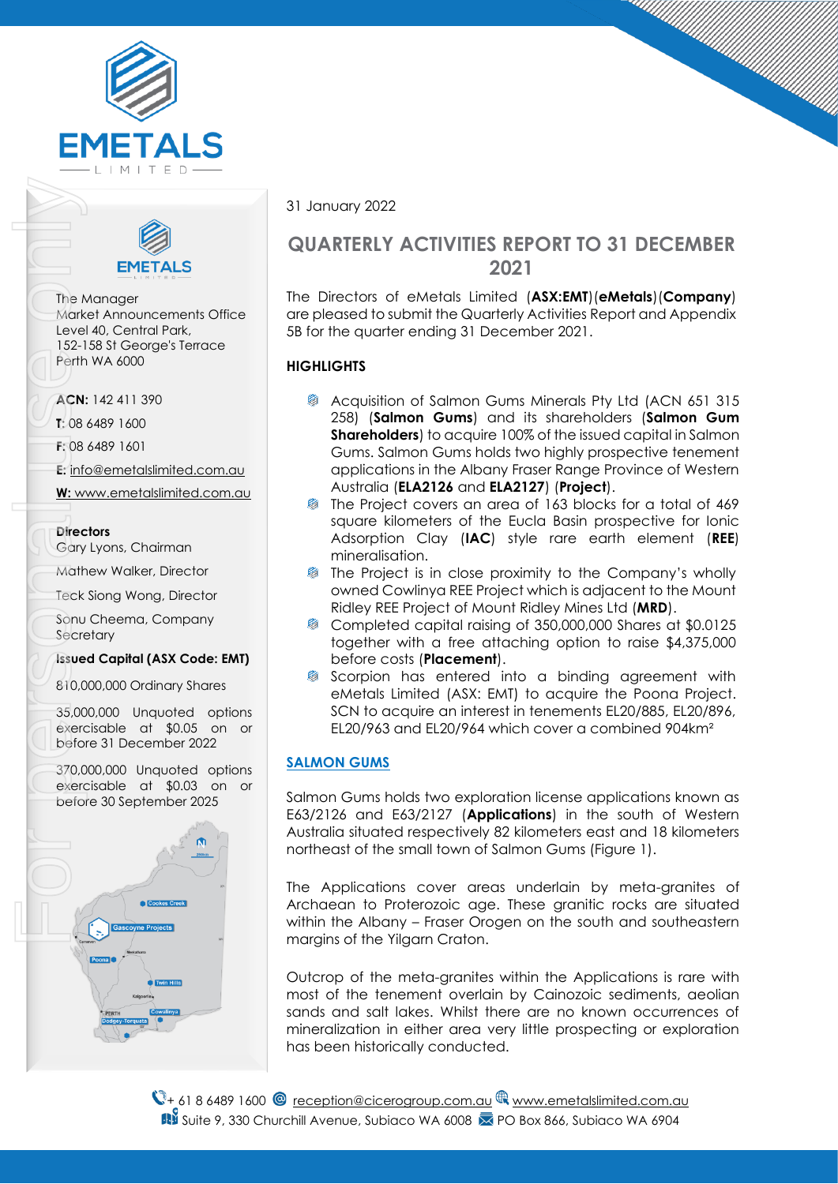



The Manager Market Announcements Office Level 40, Central Park, 152-158 St George's Terrace Perth WA 6000

**ACN:** 142 411 390

**T:** 08 6489 1600

**F:** 08 6489 1601

**E:** [info@emetalslimited.com.au](mailto:info@emetalslimited.com.au%0d)

**W:** [www.emetalslimited.com.au](http://www.emetalslimited.com.au/)

#### **Directors**

Gary Lyons, Chairman

Mathew Walker, Director

Teck Siong Wong, Director

Sonu Cheema, Company **Secretary** 

### **Issued Capital (ASX Code: EMT)**

810,000,000 Ordinary Shares

35,000,000 Unquoted options exercisable at \$0.05 on or before 31 December 2022

370,000,000 Unquoted options exercisable at \$0.03 on or



31 January 2022

## **QUARTERLY ACTIVITIES REPORT TO 31 DECEMBER 2021**

The Directors of eMetals Limited (**ASX:EMT**)(**eMetals**)(**Company**) are pleased to submit the Quarterly Activities Report and Appendix 5B for the quarter ending 31 December 2021.

## **HIGHLIGHTS**

- Acquisition of Salmon Gums Minerals Pty Ltd (ACN 651 315 258) (**Salmon Gums**) and its shareholders (**Salmon Gum Shareholders**) to acquire 100% of the issued capital in Salmon Gums. Salmon Gums holds two highly prospective tenement applications in the Albany Fraser Range Province of Western Australia (**ELA2126** and **ELA2127**) (**Project**).
- The Project covers an area of 163 blocks for a total of 469 square kilometers of the Eucla Basin prospective for Ionic Adsorption Clay (**IAC**) style rare earth element (**REE**) mineralisation.
- The Project is in close proximity to the Company's wholly owned Cowlinya REE Project which is adjacent to the Mount Ridley REE Project of Mount Ridley Mines Ltd (**MRD**).
- ₿. Completed capital raising of 350,000,000 Shares at \$0.0125 together with a free attaching option to raise \$4,375,000 before costs (**Placement**).
- Scorpion has entered into a binding agreement with eMetals Limited (ASX: EMT) to acquire the Poona Project. SCN to acquire an interest in tenements EL20/885, EL20/896, EL20/963 and EL20/964 which cover a combined 904km²

## **SALMON GUMS**

Salmon Gums holds two exploration license applications known as E63/2126 and E63/2127 (**Applications**) in the south of Western Australia situated respectively 82 kilometers east and 18 kilometers northeast of the small town of Salmon Gums (Figure 1).

The Applications cover areas underlain by meta-granites of Archaean to Proterozoic age. These granitic rocks are situated within the Albany – Fraser Orogen on the south and southeastern margins of the Yilgarn Craton.

Outcrop of the meta-granites within the Applications is rare with most of the tenement overlain by Cainozoic sediments, aeolian sands and salt lakes. Whilst there are no known occurrences of mineralization in either area very little prospecting or exploration has been historically conducted.

 $\mathbb{Q}_+$  61 8 6489 1600  $\mathbb{Q}$  [reception@cicerogroup.com.au](mailto:reception@cicerogroup.com.au)  $\mathbb{Q}$  [www.emetalslimited.com.au](http://www.emetalslimited.com.au/) **B** Suite 9, 330 Churchill Avenue, Subiaco WA 6008 **2** PO Box 866, Subiaco WA 6904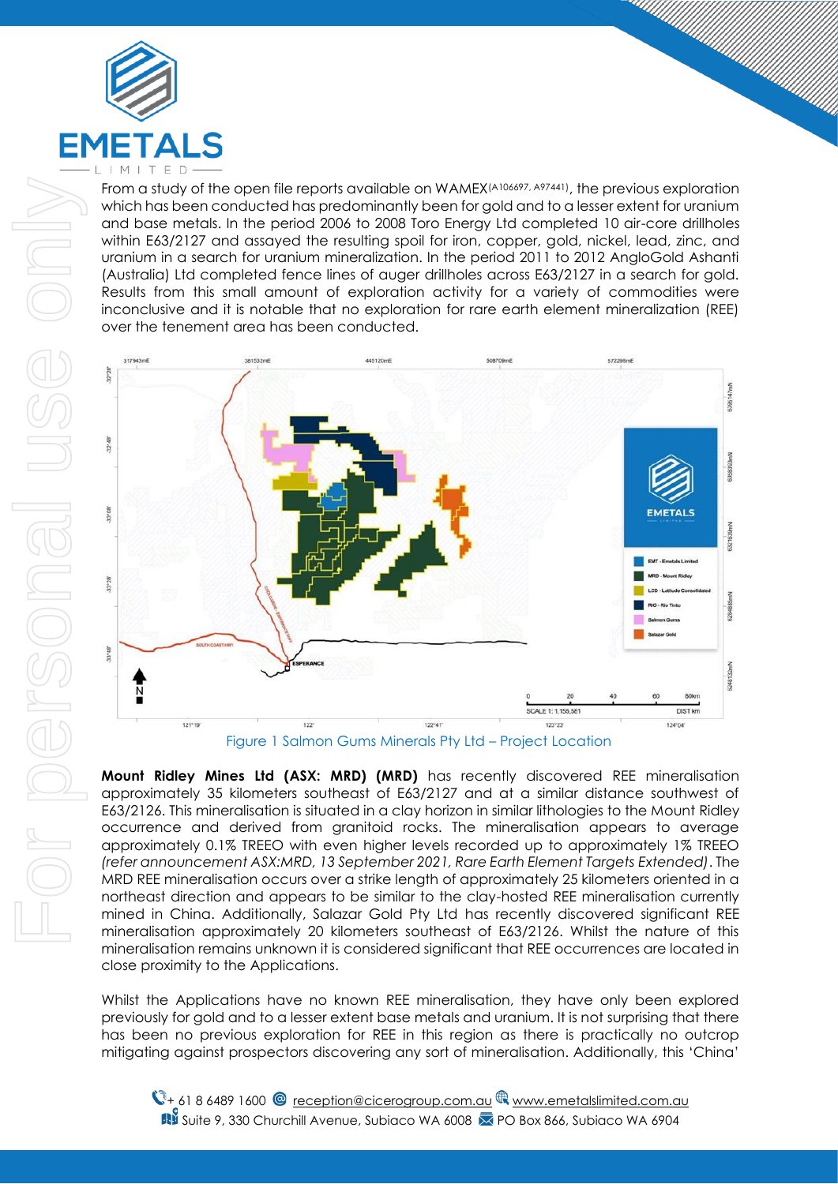

From a study of the open file reports available on WAMEX(A106697, A97441), the previous exploration which has been conducted has predominantly been for gold and to a lesser extent for uranium and base metals. In the period 2006 to 2008 Toro Energy Ltd completed 10 air-core drillholes within E63/2127 and assayed the resulting spoil for iron, copper, gold, nickel, lead, zinc, and uranium in a search for uranium mineralization. In the period 2011 to 2012 AngloGold Ashanti (Australia) Ltd completed fence lines of auger drillholes across E63/2127 in a search for gold. Results from this small amount of exploration activity for a variety of commodities were inconclusive and it is notable that no exploration for rare earth element mineralization (REE) over the tenement area has been conducted.



**Mount Ridley Mines Ltd (ASX: MRD) (MRD)** has recently discovered REE mineralisation approximately 35 kilometers southeast of E63/2127 and at a similar distance southwest of E63/2126. This mineralisation is situated in a clay horizon in similar lithologies to the Mount Ridley occurrence and derived from granitoid rocks. The mineralisation appears to average approximately 0.1% TREEO with even higher levels recorded up to approximately 1% TREEO *(refer announcement ASX:MRD, 13 September 2021, Rare Earth Element Targets Extended)*. The MRD REE mineralisation occurs over a strike length of approximately 25 kilometers oriented in a northeast direction and appears to be similar to the clay-hosted REE mineralisation currently mined in China. Additionally, Salazar Gold Pty Ltd has recently discovered significant REE mineralisation approximately 20 kilometers southeast of E63/2126. Whilst the nature of this mineralisation remains unknown it is considered significant that REE occurrences are located in close proximity to the Applications.

Whilst the Applications have no known REE mineralisation, they have only been explored previously for gold and to a lesser extent base metals and uranium. It is not surprising that there has been no previous exploration for REE in this region as there is practically no outcrop mitigating against prospectors discovering any sort of mineralisation. Additionally, this 'China'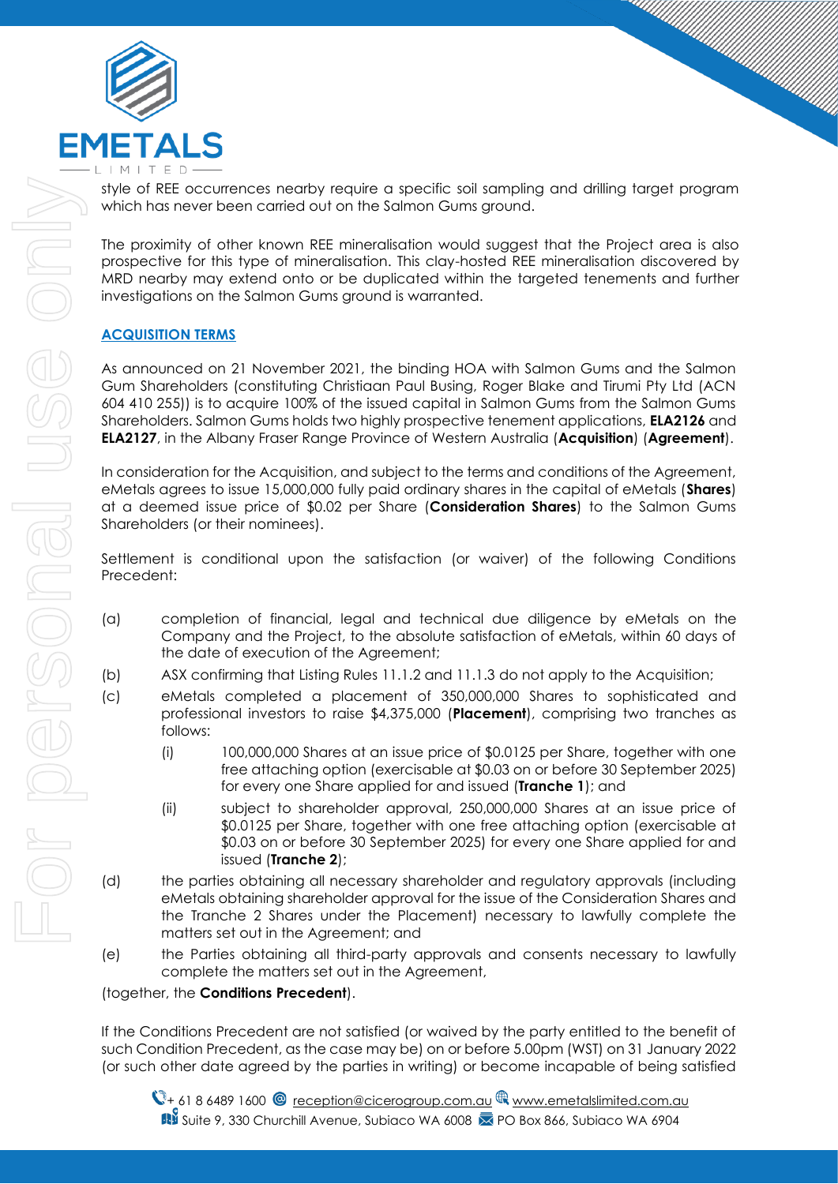

style of REE occurrences nearby require a specific soil sampling and drilling target program which has never been carried out on the Salmon Gums ground.

The proximity of other known REE mineralisation would suggest that the Project area is also prospective for this type of mineralisation. This clay-hosted REE mineralisation discovered by MRD nearby may extend onto or be duplicated within the targeted tenements and further investigations on the Salmon Gums ground is warranted.

## **ACQUISITION TERMS**

As announced on 21 November 2021, the binding HOA with Salmon Gums and the Salmon Gum Shareholders (constituting Christiaan Paul Busing, Roger Blake and Tirumi Pty Ltd (ACN 604 410 255)) is to acquire 100% of the issued capital in Salmon Gums from the Salmon Gums Shareholders. Salmon Gums holds two highly prospective tenement applications, **ELA2126** and **ELA2127**, in the Albany Fraser Range Province of Western Australia (**Acquisition**) (**Agreement**).

In consideration for the Acquisition, and subject to the terms and conditions of the Agreement, eMetals agrees to issue 15,000,000 fully paid ordinary shares in the capital of eMetals (**Shares**) at a deemed issue price of \$0.02 per Share (**Consideration Shares**) to the Salmon Gums Shareholders (or their nominees).

Settlement is conditional upon the satisfaction (or waiver) of the following Conditions Precedent:

- (a) completion of financial, legal and technical due diligence by eMetals on the Company and the Project, to the absolute satisfaction of eMetals, within 60 days of the date of execution of the Agreement;
- (b) ASX confirming that Listing Rules 11.1.2 and 11.1.3 do not apply to the Acquisition;
- (c) eMetals completed a placement of 350,000,000 Shares to sophisticated and professional investors to raise \$4,375,000 (**Placement**), comprising two tranches as follows:
	- (i) 100,000,000 Shares at an issue price of \$0.0125 per Share, together with one free attaching option (exercisable at \$0.03 on or before 30 September 2025) for every one Share applied for and issued (**Tranche 1**); and
	- (ii) subject to shareholder approval, 250,000,000 Shares at an issue price of \$0.0125 per Share, together with one free attaching option (exercisable at \$0.03 on or before 30 September 2025) for every one Share applied for and issued (**Tranche 2**);
- (d) the parties obtaining all necessary shareholder and regulatory approvals (including eMetals obtaining shareholder approval for the issue of the Consideration Shares and the Tranche 2 Shares under the Placement) necessary to lawfully complete the matters set out in the Agreement; and
- (e) the Parties obtaining all third-party approvals and consents necessary to lawfully complete the matters set out in the Agreement,

(together, the **Conditions Precedent**).

If the Conditions Precedent are not satisfied (or waived by the party entitled to the benefit of such Condition Precedent, as the case may be) on or before 5.00pm (WST) on 31 January 2022 (or such other date agreed by the parties in writing) or become incapable of being satisfied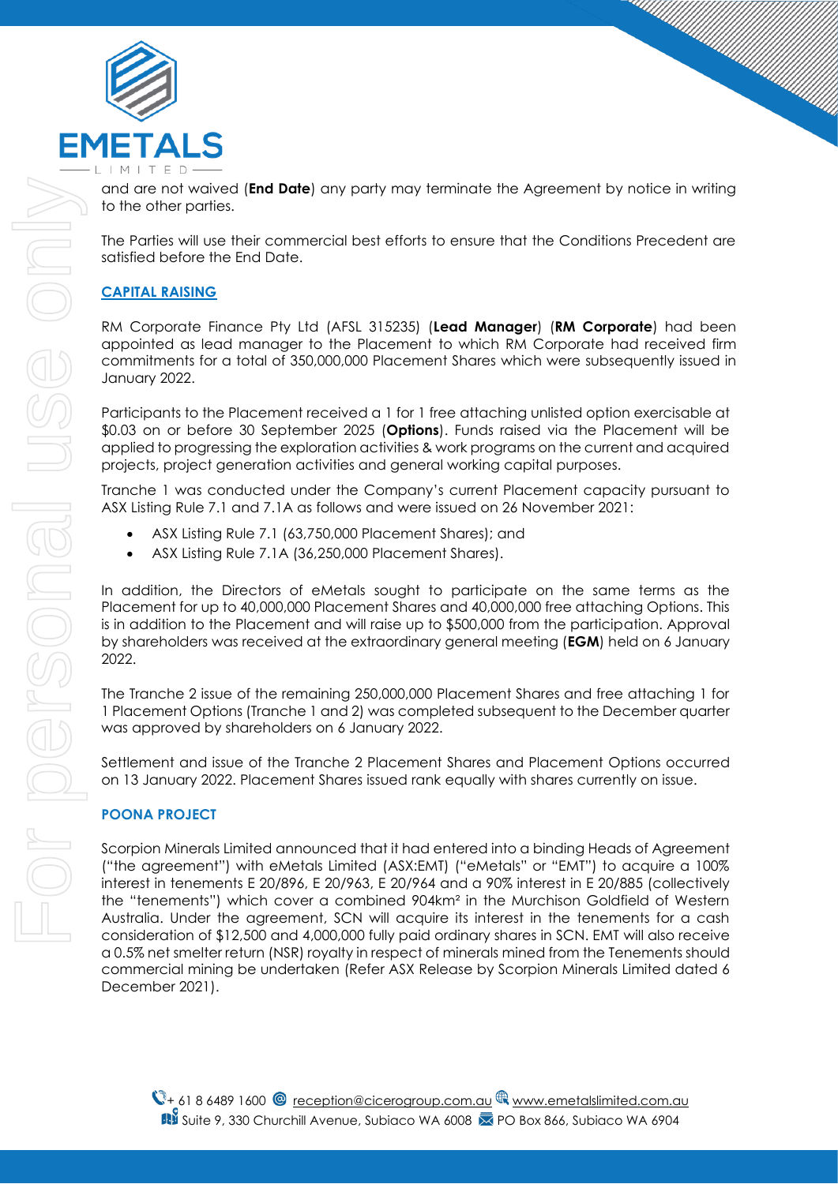

and are not waived (**End Date**) any party may terminate the Agreement by notice in writing to the other parties.

The Parties will use their commercial best efforts to ensure that the Conditions Precedent are satisfied before the End Date.

## **CAPITAL RAISING**

RM Corporate Finance Pty Ltd (AFSL 315235) (**Lead Manager**) (**RM Corporate**) had been appointed as lead manager to the Placement to which RM Corporate had received firm commitments for a total of 350,000,000 Placement Shares which were subsequently issued in January 2022.

Participants to the Placement received a 1 for 1 free attaching unlisted option exercisable at \$0.03 on or before 30 September 2025 (**Options**). Funds raised via the Placement will be applied to progressing the exploration activities & work programs on the current and acquired projects, project generation activities and general working capital purposes.

Tranche 1 was conducted under the Company's current Placement capacity pursuant to ASX Listing Rule 7.1 and 7.1A as follows and were issued on 26 November 2021:

- ASX Listing Rule 7.1 (63,750,000 Placement Shares); and
- ASX Listing Rule 7.1A (36,250,000 Placement Shares).

In addition, the Directors of eMetals sought to participate on the same terms as the Placement for up to 40,000,000 Placement Shares and 40,000,000 free attaching Options. This is in addition to the Placement and will raise up to \$500,000 from the participation. Approval by shareholders was received at the extraordinary general meeting (**EGM**) held on 6 January 2022.

The Tranche 2 issue of the remaining 250,000,000 Placement Shares and free attaching 1 for 1 Placement Options (Tranche 1 and 2) was completed subsequent to the December quarter was approved by shareholders on 6 January 2022.

Settlement and issue of the Tranche 2 Placement Shares and Placement Options occurred on 13 January 2022. Placement Shares issued rank equally with shares currently on issue.

### **POONA PROJECT**

Scorpion Minerals Limited announced that it had entered into a binding Heads of Agreement ("the agreement") with eMetals Limited (ASX:EMT) ("eMetals" or "EMT") to acquire a 100% interest in tenements E 20/896, E 20/963, E 20/964 and a 90% interest in E 20/885 (collectively the "tenements") which cover a combined 904km² in the Murchison Goldfield of Western Australia. Under the agreement, SCN will acquire its interest in the tenements for a cash consideration of \$12,500 and 4,000,000 fully paid ordinary shares in SCN. EMT will also receive a 0.5% net smelter return (NSR) royalty in respect of minerals mined from the Tenements should commercial mining be undertaken (Refer ASX Release by Scorpion Minerals Limited dated 6 December 2021).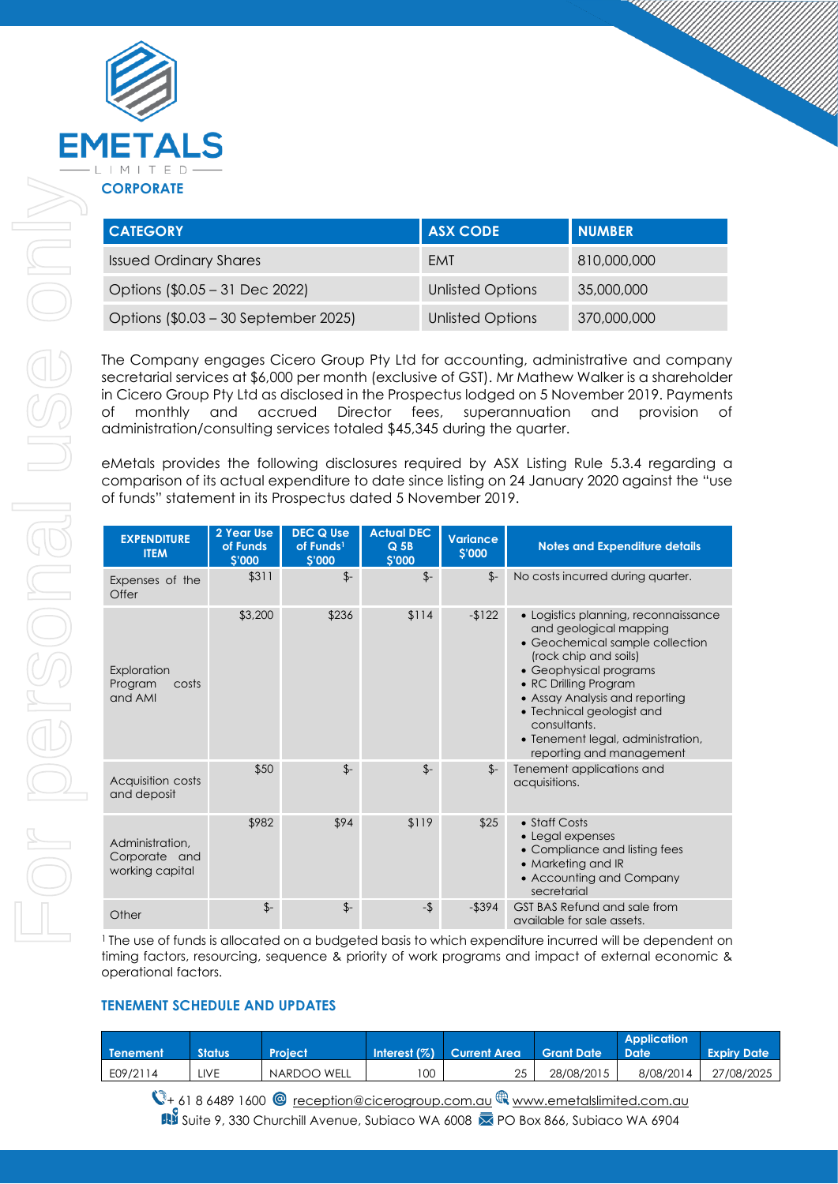

| <b>CATEGORY</b>                      | <b>ASX CODE</b>         | <b>NUMBER</b> |
|--------------------------------------|-------------------------|---------------|
| <b>Issued Ordinary Shares</b>        | EMT                     | 810,000,000   |
| Options (\$0.05 - 31 Dec 2022)       | <b>Unlisted Options</b> | 35,000,000    |
| Options (\$0.03 – 30 September 2025) | <b>Unlisted Options</b> | 370,000,000   |

The Company engages Cicero Group Pty Ltd for accounting, administrative and company secretarial services at \$6,000 per month (exclusive of GST). Mr Mathew Walker is a shareholder in Cicero Group Pty Ltd as disclosed in the Prospectus lodged on 5 November 2019. Payments of monthly and accrued Director fees, superannuation and provision of administration/consulting services totaled \$45,345 during the quarter.

eMetals provides the following disclosures required by ASX Listing Rule 5.3.4 regarding a comparison of its actual expenditure to date since listing on 24 January 2020 against the "use of funds" statement in its Prospectus dated 5 November 2019.

| <b>EXPENDITURE</b><br><b>ITEM</b>                   | 2 Year Use<br>of Funds<br><b>S'000</b> | <b>DEC Q Use</b><br>of Funds <sup>1</sup><br>\$'000 | <b>Actual DEC</b><br>$Q$ 5B<br>\$'000 | <b>Variance</b><br>\$'000 | <b>Notes and Expenditure details</b>                                                                                                                                                                                                                                                                                          |
|-----------------------------------------------------|----------------------------------------|-----------------------------------------------------|---------------------------------------|---------------------------|-------------------------------------------------------------------------------------------------------------------------------------------------------------------------------------------------------------------------------------------------------------------------------------------------------------------------------|
| Expenses of the<br>Offer                            | \$311                                  | $\frac{2}{2}$                                       | $\frac{2}{2}$                         | $\frac{2}{2}$             | No costs incurred during quarter.                                                                                                                                                                                                                                                                                             |
| Exploration<br>Program<br>costs<br>and AMI          | \$3,200                                | \$236                                               | \$114                                 | $-122$                    | • Logistics planning, reconnaissance<br>and geological mapping<br>• Geochemical sample collection<br>(rock chip and soils)<br>• Geophysical programs<br>• RC Drilling Program<br>• Assay Analysis and reporting<br>• Technical geologist and<br>consultants.<br>• Tenement legal, administration,<br>reporting and management |
| Acquisition costs<br>and deposit                    | \$50                                   | $\frac{2}{2}$                                       | $\frac{2}{2}$                         | $\frac{2}{2}$             | Tenement applications and<br>acquisitions.                                                                                                                                                                                                                                                                                    |
| Administration,<br>Corporate and<br>working capital | \$982                                  | \$94                                                | \$119                                 | \$25                      | • Staff Costs<br>• Legal expenses<br>• Compliance and listing fees<br>• Marketing and IR<br>• Accounting and Company<br>secretarial                                                                                                                                                                                           |
| Other                                               | $\frac{2}{2}$                          | $$-$                                                | $-5$                                  | $-$ \$394                 | GST BAS Refund and sale from<br>available for sale assets.                                                                                                                                                                                                                                                                    |

<sup>1</sup> The use of funds is allocated on a budgeted basis to which expenditure incurred will be dependent on timing factors, resourcing, sequence & priority of work programs and impact of external economic & operational factors.

## **TENEMENT SCHEDULE AND UPDATES**

| <b>Tenement</b> | <b>Status</b> | <b>Project</b> |    | Interest (%) Current Area | Grant Date | <b>Application</b><br><b>Date</b> | <b>Expiry Date</b> |
|-----------------|---------------|----------------|----|---------------------------|------------|-----------------------------------|--------------------|
| E09/2114        | LIVE          | NARDOO WELL    | 00 | 25                        | 28/08/2015 | 8/08/2014                         | 27/08/2025         |

 $\mathbb{Q}_+$  61 8 6489 1600  $\mathbb{Q}$  [reception@cicerogroup.com.au](mailto:reception@cicerogroup.com.au)  $\mathbb{R}$  [www.emetalslimited.com.au](http://www.emetalslimited.com.au/) **■ Suite 9, 330 Churchill Avenue, Subiaco WA 6008 ≥ PO Box 866, Subiaco WA 6904**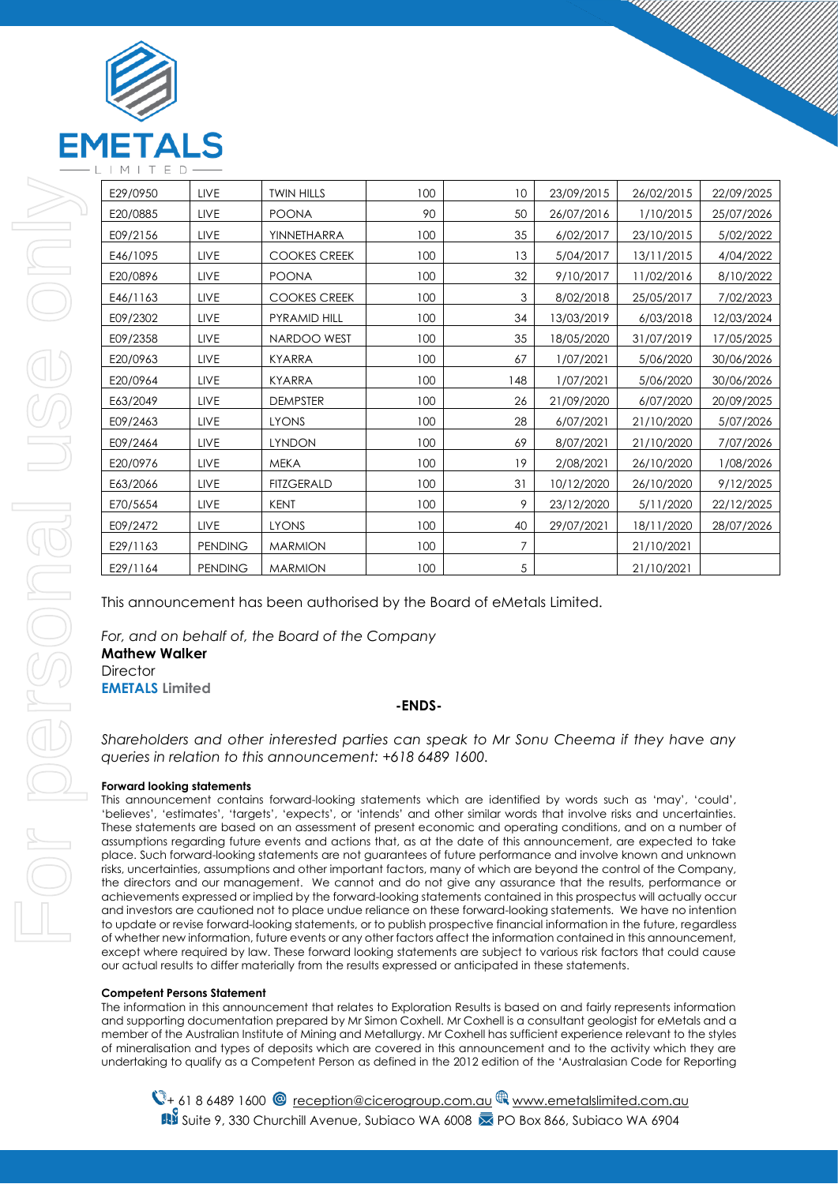

| E29/0950 | LIVE           | <b>TWIN HILLS</b>   | 100 | 10  | 23/09/2015 | 26/02/2015 | 22/09/2025 |
|----------|----------------|---------------------|-----|-----|------------|------------|------------|
| E20/0885 | LIVE           | <b>POONA</b>        | 90  | 50  | 26/07/2016 | 1/10/2015  | 25/07/2026 |
| E09/2156 | LIVE           | YINNETHARRA         | 100 | 35  | 6/02/2017  | 23/10/2015 | 5/02/2022  |
| E46/1095 | <b>LIVE</b>    | <b>COOKES CREEK</b> | 100 | 13  | 5/04/2017  | 13/11/2015 | 4/04/2022  |
| E20/0896 | LIVE           | <b>POONA</b>        | 100 | 32  | 9/10/2017  | 11/02/2016 | 8/10/2022  |
| E46/1163 | LIVE           | <b>COOKES CREEK</b> | 100 | 3   | 8/02/2018  | 25/05/2017 | 7/02/2023  |
| E09/2302 | LIVE           | PYRAMID HILL        | 100 | 34  | 13/03/2019 | 6/03/2018  | 12/03/2024 |
| E09/2358 | LIVE           | NARDOO WEST         | 100 | 35  | 18/05/2020 | 31/07/2019 | 17/05/2025 |
| E20/0963 | LIVE           | <b>KYARRA</b>       | 100 | 67  | 1/07/2021  | 5/06/2020  | 30/06/2026 |
| E20/0964 | <b>LIVE</b>    | <b>KYARRA</b>       | 100 | 148 | 1/07/2021  | 5/06/2020  | 30/06/2026 |
| E63/2049 | LIVE           | <b>DEMPSTER</b>     | 100 | 26  | 21/09/2020 | 6/07/2020  | 20/09/2025 |
| E09/2463 | <b>LIVE</b>    | <b>LYONS</b>        | 100 | 28  | 6/07/2021  | 21/10/2020 | 5/07/2026  |
| E09/2464 | LIVE           | <b>LYNDON</b>       | 100 | 69  | 8/07/2021  | 21/10/2020 | 7/07/2026  |
| E20/0976 | LIVE           | <b>MEKA</b>         | 100 | 19  | 2/08/2021  | 26/10/2020 | 1/08/2026  |
| E63/2066 | LIVE           | <b>FITZGERALD</b>   | 100 | 31  | 10/12/2020 | 26/10/2020 | 9/12/2025  |
| E70/5654 | <b>LIVE</b>    | <b>KENT</b>         | 100 | 9   | 23/12/2020 | 5/11/2020  | 22/12/2025 |
| E09/2472 | LIVE           | <b>LYONS</b>        | 100 | 40  | 29/07/2021 | 18/11/2020 | 28/07/2026 |
| E29/1163 | <b>PENDING</b> | <b>MARMION</b>      | 100 | 7   |            | 21/10/2021 |            |
| E29/1164 | <b>PENDING</b> | <b>MARMION</b>      | 100 | 5   |            | 21/10/2021 |            |

This announcement has been authorised by the Board of eMetals Limited.

*For, and on behalf of, the Board of the Company* **Mathew Walker Director EMETALS Limited**

#### **-ENDS-**

*Shareholders and other interested parties can speak to Mr Sonu Cheema if they have any queries in relation to this announcement: +618 6489 1600.*

#### **Forward looking statements**

This announcement contains forward-looking statements which are identified by words such as 'may', 'could', 'believes', 'estimates', 'targets', 'expects', or 'intends' and other similar words that involve risks and uncertainties. These statements are based on an assessment of present economic and operating conditions, and on a number of assumptions regarding future events and actions that, as at the date of this announcement, are expected to take place. Such forward-looking statements are not guarantees of future performance and involve known and unknown risks, uncertainties, assumptions and other important factors, many of which are beyond the control of the Company, the directors and our management. We cannot and do not give any assurance that the results, performance or achievements expressed or implied by the forward-looking statements contained in this prospectus will actually occur and investors are cautioned not to place undue reliance on these forward-looking statements. We have no intention to update or revise forward-looking statements, or to publish prospective financial information in the future, regardless of whether new information, future events or any other factors affect the information contained in this announcement, except where required by law. These forward looking statements are subject to various risk factors that could cause our actual results to differ materially from the results expressed or anticipated in these statements.

#### **Competent Persons Statement**

The information in this announcement that relates to Exploration Results is based on and fairly represents information and supporting documentation prepared by Mr Simon Coxhell. Mr Coxhell is a consultant geologist for eMetals and a member of the Australian Institute of Mining and Metallurgy. Mr Coxhell has sufficient experience relevant to the styles of mineralisation and types of deposits which are covered in this announcement and to the activity which they are undertaking to qualify as a Competent Person as defined in the 2012 edition of the 'Australasian Code for Reporting

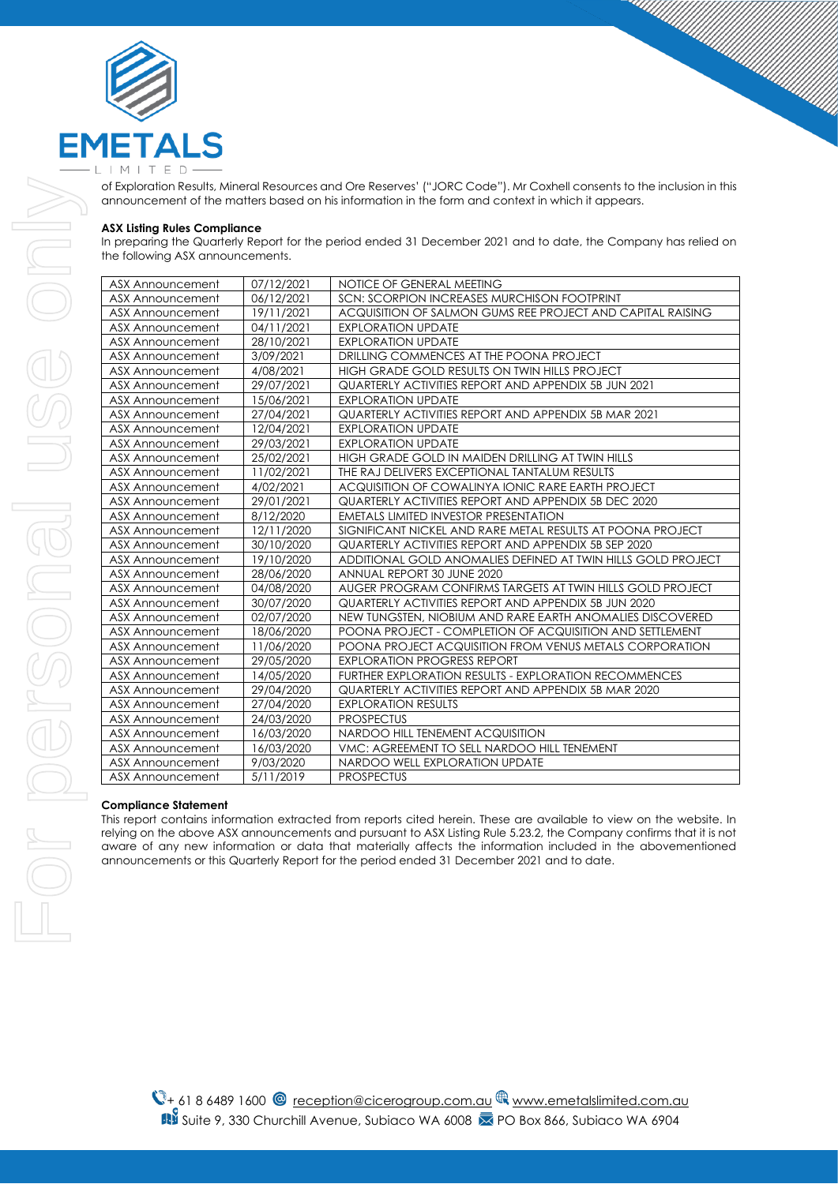

of Exploration Results, Mineral Resources and Ore Reserves' ("JORC Code"). Mr Coxhell consents to the inclusion in this announcement of the matters based on his information in the form and context in which it appears.

#### **ASX Listing Rules Compliance**

In preparing the Quarterly Report for the period ended 31 December 2021 and to date, the Company has relied on the following ASX announcements.

| ASX Announcement        | 07/12/2021 | NOTICE OF GENERAL MEETING                                    |
|-------------------------|------------|--------------------------------------------------------------|
| ASX Announcement        | 06/12/2021 | SCN: SCORPION INCREASES MURCHISON FOOTPRINT                  |
| <b>ASX Announcement</b> | 19/11/2021 | ACQUISITION OF SALMON GUMS REE PROJECT AND CAPITAL RAISING   |
| <b>ASX Announcement</b> | 04/11/2021 | <b>EXPLORATION UPDATE</b>                                    |
| ASX Announcement        | 28/10/2021 | <b>EXPLORATION UPDATE</b>                                    |
| <b>ASX Announcement</b> | 3/09/2021  | DRILLING COMMENCES AT THE POONA PROJECT                      |
| ASX Announcement        | 4/08/2021  | HIGH GRADE GOLD RESULTS ON TWIN HILLS PROJECT                |
| ASX Announcement        | 29/07/2021 | QUARTERLY ACTIVITIES REPORT AND APPENDIX 5B JUN 2021         |
| <b>ASX Announcement</b> | 15/06/2021 | <b>EXPLORATION UPDATE</b>                                    |
| ASX Announcement        | 27/04/2021 | QUARTERLY ACTIVITIES REPORT AND APPENDIX 5B MAR 2021         |
| <b>ASX Announcement</b> | 12/04/2021 | <b>EXPLORATION UPDATE</b>                                    |
| ASX Announcement        | 29/03/2021 | <b>EXPLORATION UPDATE</b>                                    |
| <b>ASX Announcement</b> | 25/02/2021 | HIGH GRADE GOLD IN MAIDEN DRILLING AT TWIN HILLS             |
| <b>ASX Announcement</b> | 11/02/2021 | THE RAJ DELIVERS EXCEPTIONAL TANTALUM RESULTS                |
| <b>ASX Announcement</b> | 4/02/2021  | ACQUISITION OF COWALINYA IONIC RARE EARTH PROJECT            |
| <b>ASX Announcement</b> | 29/01/2021 | QUARTERLY ACTIVITIES REPORT AND APPENDIX 5B DEC 2020         |
| <b>ASX Announcement</b> | 8/12/2020  | <b>EMETALS LIMITED INVESTOR PRESENTATION</b>                 |
| <b>ASX Announcement</b> | 12/11/2020 | SIGNIFICANT NICKEL AND RARE METAL RESULTS AT POONA PROJECT   |
| <b>ASX Announcement</b> | 30/10/2020 | QUARTERLY ACTIVITIES REPORT AND APPENDIX 5B SEP 2020         |
| <b>ASX Announcement</b> | 19/10/2020 | ADDITIONAL GOLD ANOMALIES DEFINED AT TWIN HILLS GOLD PROJECT |
| <b>ASX Announcement</b> | 28/06/2020 | ANNUAL REPORT 30 JUNE 2020                                   |
| <b>ASX Announcement</b> | 04/08/2020 | AUGER PROGRAM CONFIRMS TARGETS AT TWIN HILLS GOLD PROJECT    |
| ASX Announcement        | 30/07/2020 | QUARTERLY ACTIVITIES REPORT AND APPENDIX 5B JUN 2020         |
| ASX Announcement        | 02/07/2020 | NEW TUNGSTEN, NIOBIUM AND RARE EARTH ANOMALIES DISCOVERED    |
| <b>ASX Announcement</b> | 18/06/2020 | POONA PROJECT - COMPLETION OF ACQUISITION AND SETTLEMENT     |
| ASX Announcement        | 11/06/2020 | POONA PROJECT ACQUISITION FROM VENUS METALS CORPORATION      |
| <b>ASX Announcement</b> | 29/05/2020 | <b>EXPLORATION PROGRESS REPORT</b>                           |
| ASX Announcement        | 14/05/2020 | FURTHER EXPLORATION RESULTS - EXPLORATION RECOMMENCES        |
| <b>ASX Announcement</b> | 29/04/2020 | QUARTERLY ACTIVITIES REPORT AND APPENDIX 5B MAR 2020         |
| <b>ASX Announcement</b> | 27/04/2020 | <b>EXPLORATION RESULTS</b>                                   |
| ASX Announcement        | 24/03/2020 | <b>PROSPECTUS</b>                                            |
| ASX Announcement        | 16/03/2020 | NARDOO HILL TENEMENT ACQUISITION                             |
| <b>ASX Announcement</b> | 16/03/2020 | VMC: AGREEMENT TO SELL NARDOO HILL TENEMENT                  |
| <b>ASX Announcement</b> | 9/03/2020  | NARDOO WELL EXPLORATION UPDATE                               |
| <b>ASX Announcement</b> | 5/11/2019  | <b>PROSPECTUS</b>                                            |

#### **Compliance Statement**

This report contains information extracted from reports cited herein. These are available to view on the website. In relying on the above ASX announcements and pursuant to ASX Listing Rule 5.23.2, the Company confirms that it is not aware of any new information or data that materially affects the information included in the abovementioned announcements or this Quarterly Report for the period ended 31 December 2021 and to date.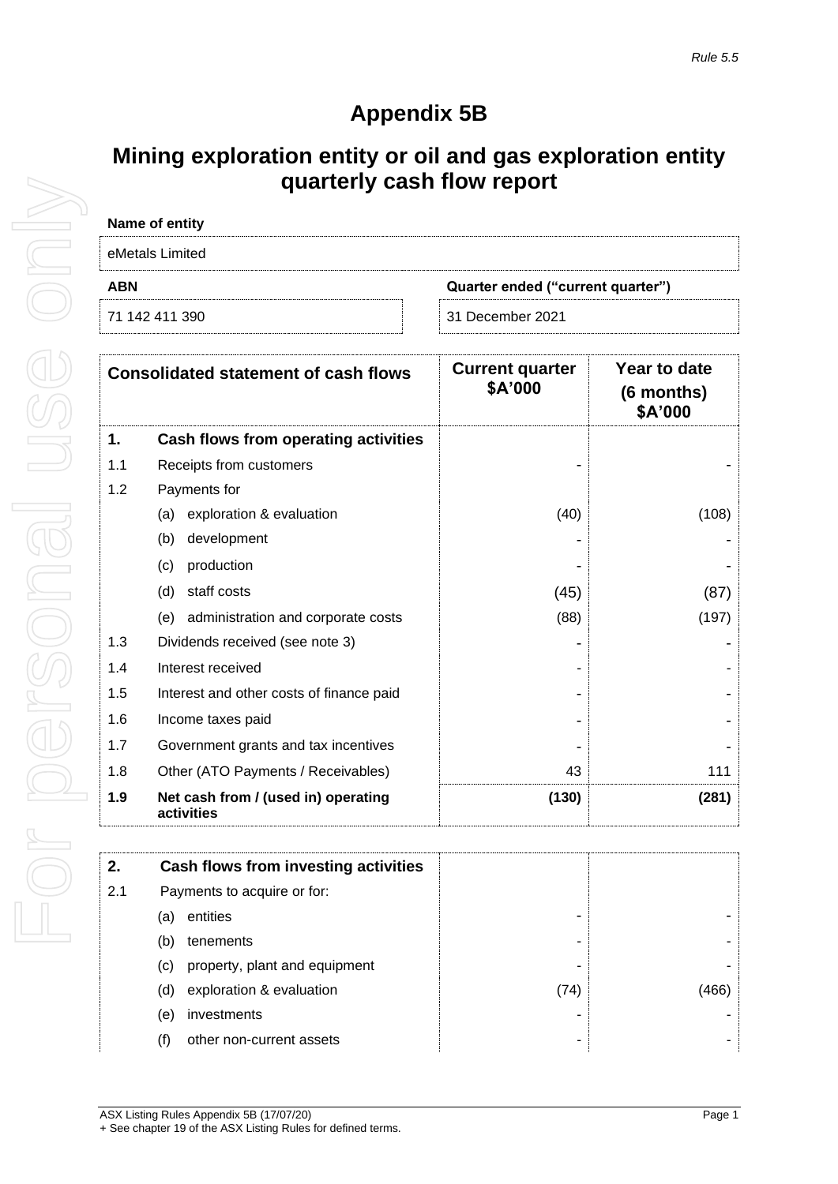# **Appendix 5B**

## **Mining exploration entity or oil and gas exploration entity quarterly cash flow report**

| Name of entity                                  |                  |  |  |  |  |
|-------------------------------------------------|------------------|--|--|--|--|
| eMetals Limited                                 |                  |  |  |  |  |
| <b>ABN</b><br>Quarter ended ("current quarter") |                  |  |  |  |  |
| 71 142 411 390                                  | 31 December 2021 |  |  |  |  |

|     | <b>Consolidated statement of cash flows</b>       | <b>Current quarter</b><br>\$A'000 | Year to date<br>$(6$ months)<br>\$A'000 |
|-----|---------------------------------------------------|-----------------------------------|-----------------------------------------|
| 1.  | Cash flows from operating activities              |                                   |                                         |
| 1.1 | Receipts from customers                           |                                   |                                         |
| 1.2 | Payments for                                      |                                   |                                         |
|     | exploration & evaluation<br>(a)                   | (40)                              | (108)                                   |
|     | development<br>(b)                                |                                   |                                         |
|     | production<br>(c)                                 |                                   |                                         |
|     | (d)<br>staff costs                                | (45)                              | (87)                                    |
|     | administration and corporate costs<br>(e)         | (88)                              | (197)                                   |
| 1.3 | Dividends received (see note 3)                   |                                   |                                         |
| 1.4 | Interest received                                 |                                   |                                         |
| 1.5 | Interest and other costs of finance paid          |                                   |                                         |
| 1.6 | Income taxes paid                                 |                                   |                                         |
| 1.7 | Government grants and tax incentives              |                                   |                                         |
| 1.8 | Other (ATO Payments / Receivables)                | 43                                | 111                                     |
| 1.9 | Net cash from / (used in) operating<br>activities | (130)                             | (281)                                   |

| 2.  | Cash flows from investing activities |      |      |
|-----|--------------------------------------|------|------|
| 2.1 | Payments to acquire or for:          |      |      |
|     | entities<br>(a)                      |      |      |
|     | tenements<br>(b)                     |      |      |
|     | property, plant and equipment<br>(C) |      |      |
|     | exploration & evaluation<br>(d)      | (74) | 466) |
|     | investments<br>(e)                   |      |      |
|     | other non-current assets<br>(f)      |      |      |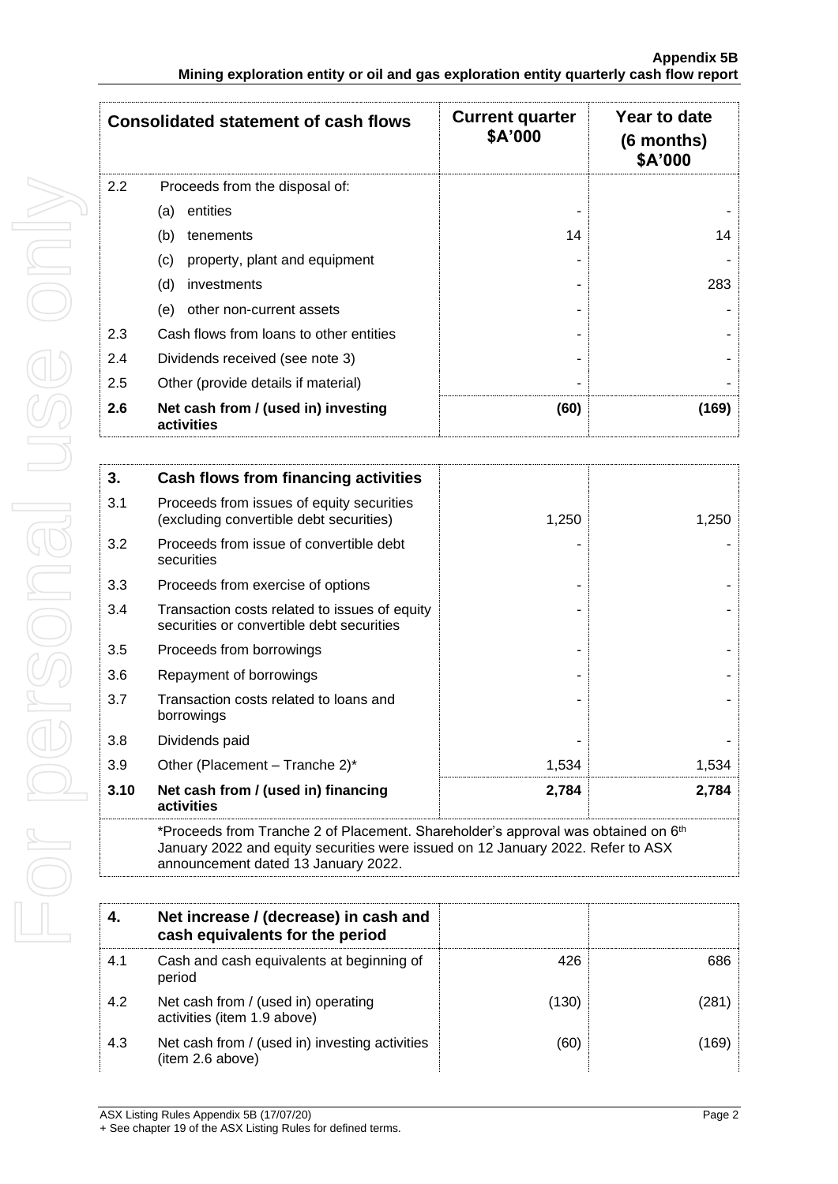|     | <b>Consolidated statement of cash flows</b>       | <b>Current quarter</b><br>\$A'000 | Year to date<br>$(6$ months)<br>\$A'000 |
|-----|---------------------------------------------------|-----------------------------------|-----------------------------------------|
| 2.2 | Proceeds from the disposal of:                    |                                   |                                         |
|     | entities<br>(a)                                   |                                   |                                         |
|     | (b)<br>tenements                                  | 14                                | 14                                      |
|     | (c)<br>property, plant and equipment              |                                   |                                         |
|     | (d)<br>investments                                |                                   | 283                                     |
|     | other non-current assets<br>(e)                   |                                   |                                         |
| 2.3 | Cash flows from loans to other entities           |                                   |                                         |
| 2.4 | Dividends received (see note 3)                   |                                   |                                         |
| 2.5 | Other (provide details if material)               |                                   |                                         |
| 2.6 | Net cash from / (used in) investing<br>activities | (60)                              | (169)                                   |

| 3.   | Cash flows from financing activities                                                                                                                                             |       |       |
|------|----------------------------------------------------------------------------------------------------------------------------------------------------------------------------------|-------|-------|
| 3.1  | Proceeds from issues of equity securities<br>(excluding convertible debt securities)                                                                                             | 1,250 | 1,250 |
| 3.2  | Proceeds from issue of convertible debt<br>securities                                                                                                                            |       |       |
| 3.3  | Proceeds from exercise of options                                                                                                                                                |       |       |
| 3.4  | Transaction costs related to issues of equity<br>securities or convertible debt securities                                                                                       |       |       |
| 3.5  | Proceeds from borrowings                                                                                                                                                         |       |       |
| 3.6  | Repayment of borrowings                                                                                                                                                          |       |       |
| 3.7  | Transaction costs related to loans and<br>borrowings                                                                                                                             |       |       |
| 3.8  | Dividends paid                                                                                                                                                                   |       |       |
| 3.9  | Other (Placement – Tranche 2)*                                                                                                                                                   | 1,534 | 1,534 |
| 3.10 | Net cash from / (used in) financing<br>activities                                                                                                                                | 2,784 | 2,784 |
|      | *Proceeds from Tranche 2 of Placement. Shareholder's approval was obtained on 6 <sup>th</sup><br>January 2022 and equity securities were issued on 12 January 2022. Refer to ASX |       |       |

announcement dated 13 January 2022.

| 4.  | Net increase / (decrease) in cash and<br>cash equivalents for the period |       |      |
|-----|--------------------------------------------------------------------------|-------|------|
| 4.1 | Cash and cash equivalents at beginning of<br>period                      | 426   | 686  |
| 4.2 | Net cash from / (used in) operating<br>activities (item 1.9 above)       | (130) | 281  |
| 4.3 | Net cash from / (used in) investing activities<br>(item 2.6 above)       | (60)  | 169) |

For personal use only For personal use onn!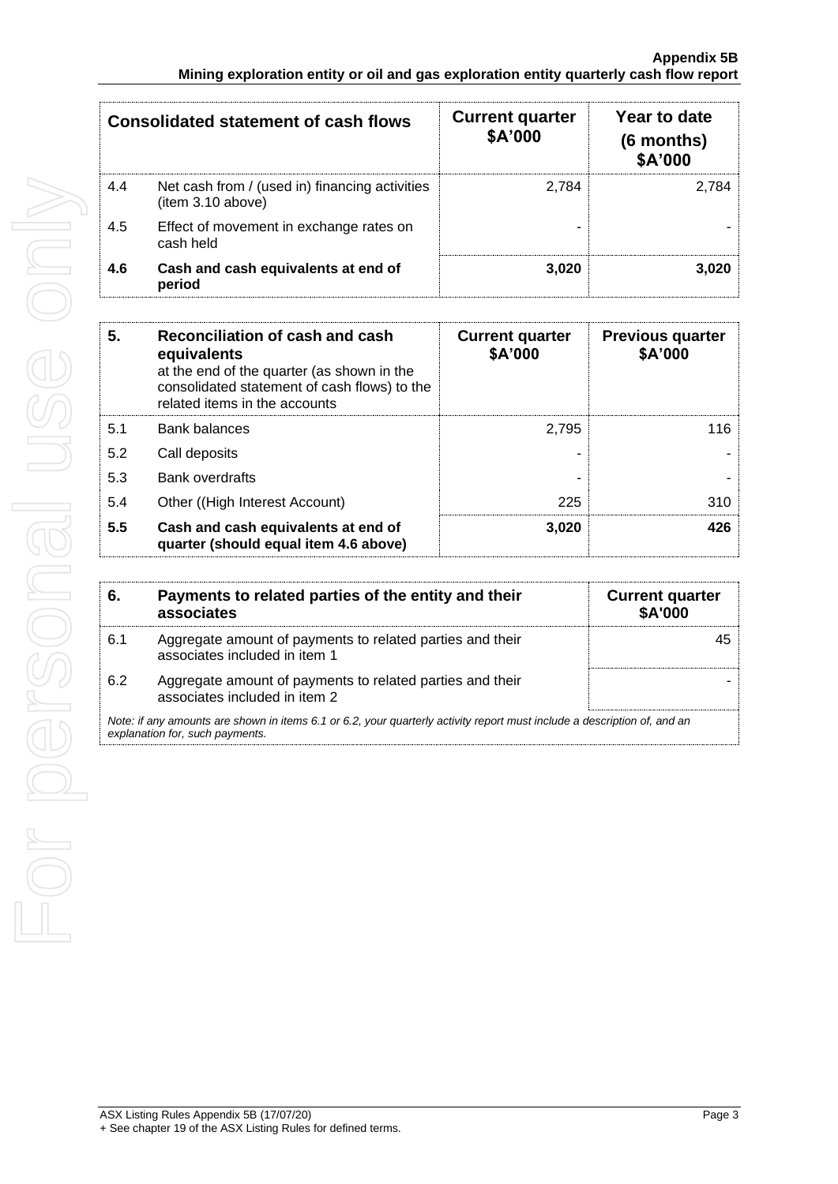| <b>Consolidated statement of cash flows</b> |                                                                    | <b>Current quarter</b><br>\$A'000 | Year to date<br>(6 months)<br>\$A'000 |
|---------------------------------------------|--------------------------------------------------------------------|-----------------------------------|---------------------------------------|
| 4.4                                         | Net cash from / (used in) financing activities<br>item 3.10 above) | 2.784                             | 2.784                                 |
| 4.5                                         | Effect of movement in exchange rates on<br>cash held               |                                   |                                       |
| 4.6                                         | Cash and cash equivalents at end of<br>period                      | 3.020                             | 3.020                                 |

| 5.  | Reconciliation of cash and cash<br>equivalents<br>at the end of the quarter (as shown in the | <b>Current quarter</b><br>\$A'000 | <b>Previous quarter</b><br>\$A'000 |
|-----|----------------------------------------------------------------------------------------------|-----------------------------------|------------------------------------|
|     | consolidated statement of cash flows) to the<br>related items in the accounts                |                                   |                                    |
| 5.1 | <b>Bank balances</b>                                                                         | 2.795                             | 116                                |
| 5.2 | Call deposits                                                                                |                                   |                                    |
| 5.3 | Bank overdrafts                                                                              |                                   |                                    |
| 5.4 | Other ((High Interest Account)                                                               | 225                               | 310                                |
| 5.5 | Cash and cash equivalents at end of<br>quarter (should equal item 4.6 above)                 | 3.020                             | 426                                |

| 6.  | Payments to related parties of the entity and their<br>associates                                                                                           | <b>Current quarter</b><br><b>\$A'000</b> |
|-----|-------------------------------------------------------------------------------------------------------------------------------------------------------------|------------------------------------------|
| 6.1 | Aggregate amount of payments to related parties and their<br>associates included in item 1                                                                  |                                          |
| 6.2 | Aggregate amount of payments to related parties and their<br>associates included in item 2                                                                  |                                          |
|     | Note: if any amounts are shown in items 6.1 or 6.2, your quarterly activity report must include a description of, and an<br>explanation for, such payments. |                                          |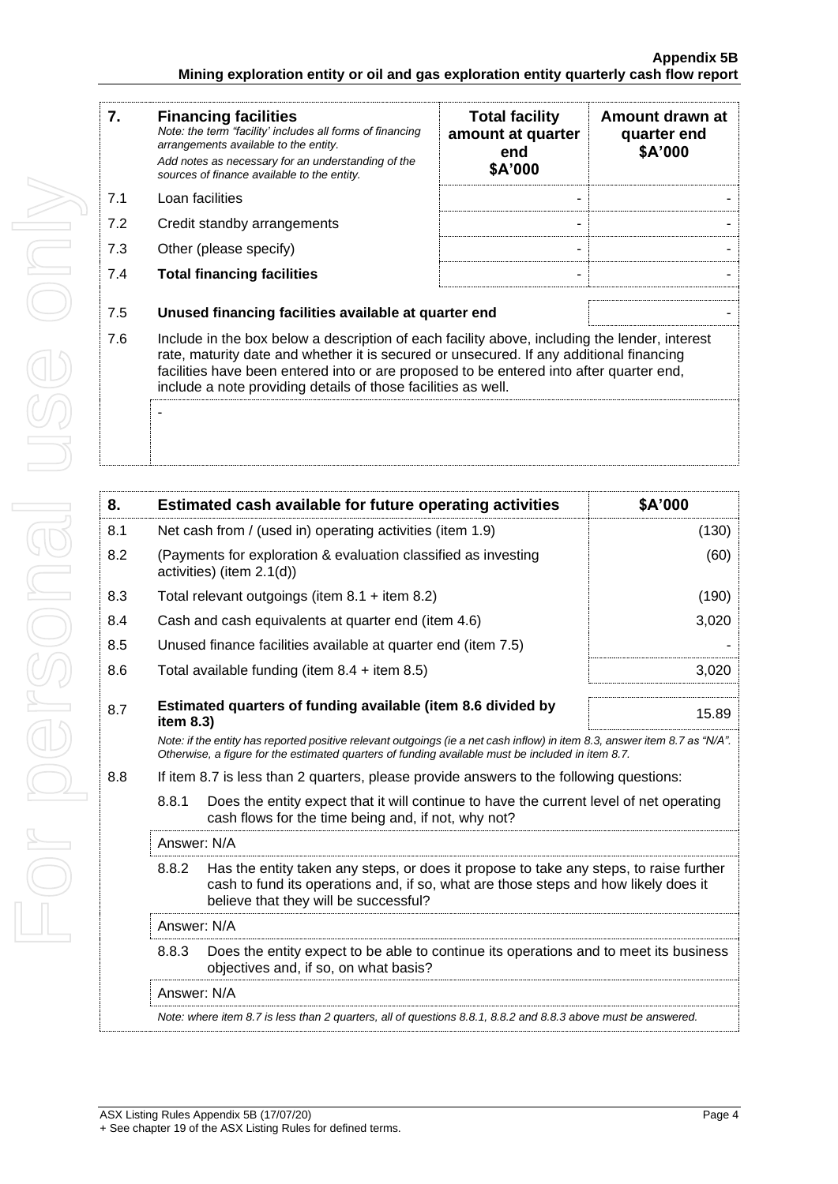| 7.  | <b>Financing facilities</b><br>Note: the term "facility' includes all forms of financing<br>arrangements available to the entity.<br>Add notes as necessary for an understanding of the<br>sources of finance available to the entity.                                                                                                               | <b>Total facility</b><br>amount at quarter<br>end<br>\$A'000 | Amount drawn at<br>quarter end<br>\$A'000 |
|-----|------------------------------------------------------------------------------------------------------------------------------------------------------------------------------------------------------------------------------------------------------------------------------------------------------------------------------------------------------|--------------------------------------------------------------|-------------------------------------------|
| 7.1 | Loan facilities                                                                                                                                                                                                                                                                                                                                      |                                                              |                                           |
| 7.2 | Credit standby arrangements                                                                                                                                                                                                                                                                                                                          |                                                              |                                           |
| 7.3 | Other (please specify)                                                                                                                                                                                                                                                                                                                               |                                                              |                                           |
| 7.4 | <b>Total financing facilities</b>                                                                                                                                                                                                                                                                                                                    |                                                              |                                           |
|     |                                                                                                                                                                                                                                                                                                                                                      |                                                              |                                           |
| 7.5 | Unused financing facilities available at quarter end                                                                                                                                                                                                                                                                                                 |                                                              |                                           |
| 7.6 | Include in the box below a description of each facility above, including the lender, interest<br>rate, maturity date and whether it is secured or unsecured. If any additional financing<br>facilities have been entered into or are proposed to be entered into after quarter end,<br>include a note providing details of those facilities as well. |                                                              |                                           |
|     |                                                                                                                                                                                                                                                                                                                                                      |                                                              |                                           |

| 8.  | Estimated cash available for future operating activities<br>\$A'000                                                                                                                                                             |                                                                                                                                                |       |  |
|-----|---------------------------------------------------------------------------------------------------------------------------------------------------------------------------------------------------------------------------------|------------------------------------------------------------------------------------------------------------------------------------------------|-------|--|
| 8.1 | Net cash from / (used in) operating activities (item 1.9)                                                                                                                                                                       |                                                                                                                                                | (130) |  |
| 8.2 | (Payments for exploration & evaluation classified as investing<br>activities) (item 2.1(d))                                                                                                                                     |                                                                                                                                                | (60)  |  |
| 8.3 | Total relevant outgoings (item $8.1 +$ item $8.2$ )                                                                                                                                                                             |                                                                                                                                                | (190) |  |
| 8.4 | Cash and cash equivalents at quarter end (item 4.6)                                                                                                                                                                             |                                                                                                                                                | 3,020 |  |
| 8.5 | Unused finance facilities available at quarter end (item 7.5)                                                                                                                                                                   |                                                                                                                                                |       |  |
| 8.6 | Total available funding (item $8.4 +$ item $8.5$ )                                                                                                                                                                              |                                                                                                                                                | 3,020 |  |
| 8.7 | Estimated quarters of funding available (item 8.6 divided by<br>15.89<br>item $8.3$ )                                                                                                                                           |                                                                                                                                                |       |  |
|     | Note: if the entity has reported positive relevant outgoings (ie a net cash inflow) in item 8.3, answer item 8.7 as "N/A".<br>Otherwise, a figure for the estimated quarters of funding available must be included in item 8.7. |                                                                                                                                                |       |  |
| 8.8 | If item 8.7 is less than 2 quarters, please provide answers to the following questions:                                                                                                                                         |                                                                                                                                                |       |  |
|     | 8.8.1                                                                                                                                                                                                                           | Does the entity expect that it will continue to have the current level of net operating<br>cash flows for the time being and, if not, why not? |       |  |
|     | Answer: N/A                                                                                                                                                                                                                     |                                                                                                                                                |       |  |
|     | 8.8.2<br>Has the entity taken any steps, or does it propose to take any steps, to raise further<br>cash to fund its operations and, if so, what are those steps and how likely does it<br>believe that they will be successful? |                                                                                                                                                |       |  |
|     | Answer: N/A                                                                                                                                                                                                                     |                                                                                                                                                |       |  |
|     | 8.8.3                                                                                                                                                                                                                           | Does the entity expect to be able to continue its operations and to meet its business<br>objectives and, if so, on what basis?                 |       |  |
|     | Answer: N/A                                                                                                                                                                                                                     |                                                                                                                                                |       |  |
|     |                                                                                                                                                                                                                                 | Note: where item 8.7 is less than 2 quarters, all of questions 8.8.1, 8.8.2 and 8.8.3 above must be answered.                                  |       |  |